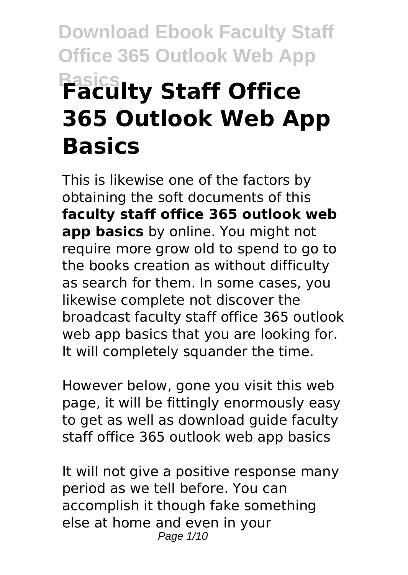# **Download Ebook Faculty Staff Office 365 Outlook Web App Basics Faculty Staff Office 365 Outlook Web App Basics**

This is likewise one of the factors by obtaining the soft documents of this **faculty staff office 365 outlook web app basics** by online. You might not require more grow old to spend to go to the books creation as without difficulty as search for them. In some cases, you likewise complete not discover the broadcast faculty staff office 365 outlook web app basics that you are looking for. It will completely squander the time.

However below, gone you visit this web page, it will be fittingly enormously easy to get as well as download guide faculty staff office 365 outlook web app basics

It will not give a positive response many period as we tell before. You can accomplish it though fake something else at home and even in your Page 1/10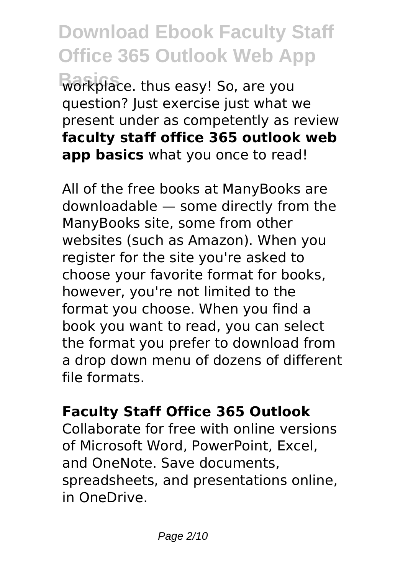**Download Ebook Faculty Staff Office 365 Outlook Web App Basics** workplace. thus easy! So, are you question? Just exercise just what we present under as competently as review **faculty staff office 365 outlook web app basics** what you once to read!

All of the free books at ManyBooks are downloadable — some directly from the ManyBooks site, some from other websites (such as Amazon). When you register for the site you're asked to choose your favorite format for books, however, you're not limited to the format you choose. When you find a book you want to read, you can select the format you prefer to download from a drop down menu of dozens of different file formats.

#### **Faculty Staff Office 365 Outlook**

Collaborate for free with online versions of Microsoft Word, PowerPoint, Excel, and OneNote. Save documents, spreadsheets, and presentations online, in OneDrive.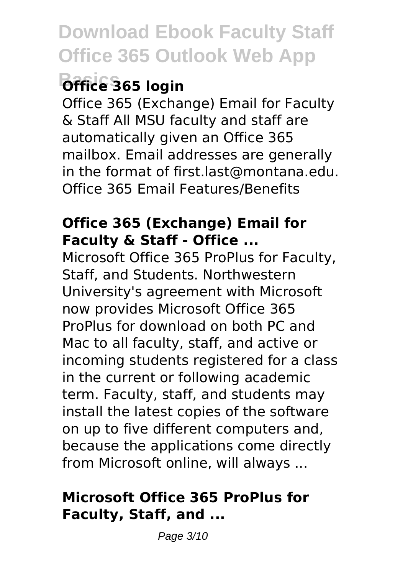## **Basics Office 365 login**

Office 365 (Exchange) Email for Faculty & Staff All MSU faculty and staff are automatically given an Office 365 mailbox. Email addresses are generally in the format of first.last@montana.edu. Office 365 Email Features/Benefits

#### **Office 365 (Exchange) Email for Faculty & Staff - Office ...**

Microsoft Office 365 ProPlus for Faculty, Staff, and Students. Northwestern University's agreement with Microsoft now provides Microsoft Office 365 ProPlus for download on both PC and Mac to all faculty, staff, and active or incoming students registered for a class in the current or following academic term. Faculty, staff, and students may install the latest copies of the software on up to five different computers and, because the applications come directly from Microsoft online, will always ...

### **Microsoft Office 365 ProPlus for Faculty, Staff, and ...**

Page 3/10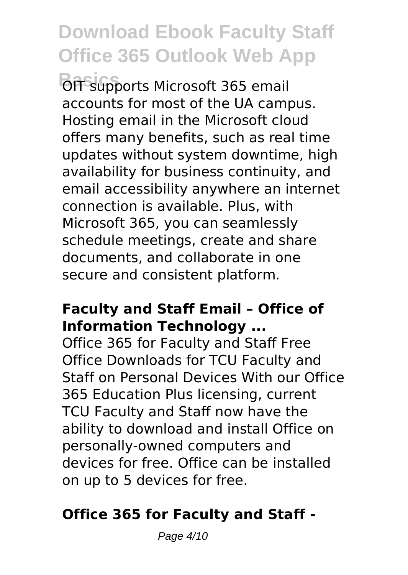**OIT supports Microsoft 365 email** accounts for most of the UA campus. Hosting email in the Microsoft cloud offers many benefits, such as real time updates without system downtime, high availability for business continuity, and email accessibility anywhere an internet connection is available. Plus, with Microsoft 365, you can seamlessly schedule meetings, create and share documents, and collaborate in one secure and consistent platform.

#### **Faculty and Staff Email – Office of Information Technology ...**

Office 365 for Faculty and Staff Free Office Downloads for TCU Faculty and Staff on Personal Devices With our Office 365 Education Plus licensing, current TCU Faculty and Staff now have the ability to download and install Office on personally-owned computers and devices for free. Office can be installed on up to 5 devices for free.

#### **Office 365 for Faculty and Staff -**

Page 4/10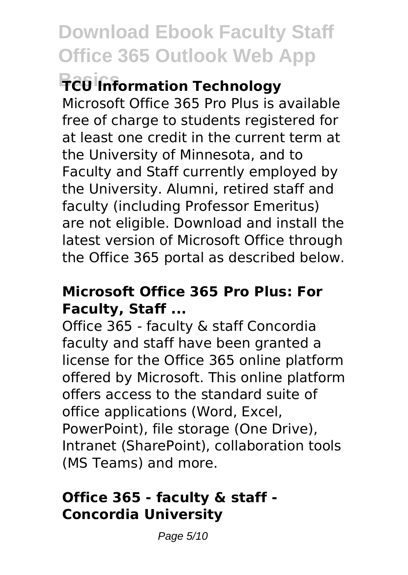# **Basics TCU Information Technology**

Microsoft Office 365 Pro Plus is available free of charge to students registered for at least one credit in the current term at the University of Minnesota, and to Faculty and Staff currently employed by the University. Alumni, retired staff and faculty (including Professor Emeritus) are not eligible. Download and install the latest version of Microsoft Office through the Office 365 portal as described below.

#### **Microsoft Office 365 Pro Plus: For Faculty, Staff ...**

Office 365 - faculty & staff Concordia faculty and staff have been granted a license for the Office 365 online platform offered by Microsoft. This online platform offers access to the standard suite of office applications (Word, Excel, PowerPoint), file storage (One Drive), Intranet (SharePoint), collaboration tools (MS Teams) and more.

### **Office 365 - faculty & staff - Concordia University**

Page 5/10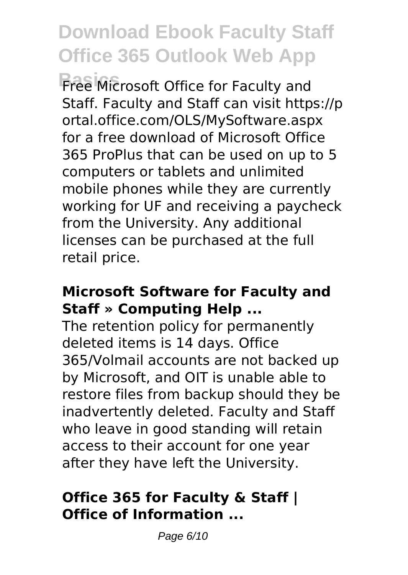**Basics** Free Microsoft Office for Faculty and Staff. Faculty and Staff can visit https://p ortal.office.com/OLS/MySoftware.aspx for a free download of Microsoft Office 365 ProPlus that can be used on up to 5 computers or tablets and unlimited mobile phones while they are currently working for UF and receiving a paycheck from the University. Any additional licenses can be purchased at the full retail price.

#### **Microsoft Software for Faculty and Staff » Computing Help ...**

The retention policy for permanently deleted items is 14 days. Office 365/Volmail accounts are not backed up by Microsoft, and OIT is unable able to restore files from backup should they be inadvertently deleted. Faculty and Staff who leave in good standing will retain access to their account for one year after they have left the University.

#### **Office 365 for Faculty & Staff | Office of Information ...**

Page 6/10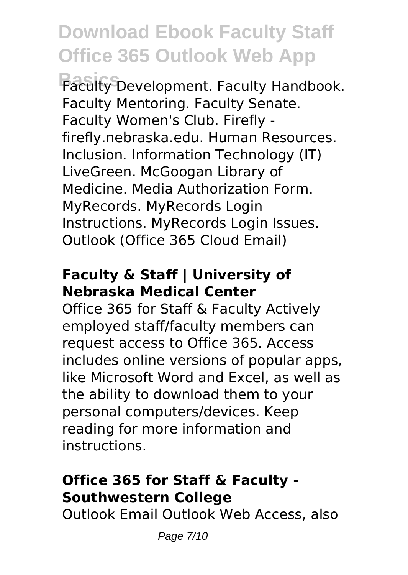**Basics** Faculty Development. Faculty Handbook. Faculty Mentoring. Faculty Senate. Faculty Women's Club. Firefly firefly.nebraska.edu. Human Resources. Inclusion. Information Technology (IT) LiveGreen. McGoogan Library of Medicine. Media Authorization Form. MyRecords. MyRecords Login Instructions. MyRecords Login Issues. Outlook (Office 365 Cloud Email)

#### **Faculty & Staff | University of Nebraska Medical Center**

Office 365 for Staff & Faculty Actively employed staff/faculty members can request access to Office 365. Access includes online versions of popular apps, like Microsoft Word and Excel, as well as the ability to download them to your personal computers/devices. Keep reading for more information and instructions.

## **Office 365 for Staff & Faculty - Southwestern College**

Outlook Email Outlook Web Access, also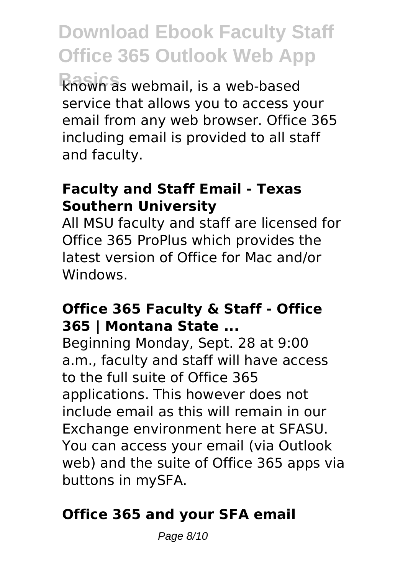**Download Ebook Faculty Staff Office 365 Outlook Web App Basics** known as webmail, is a web-based service that allows you to access your email from any web browser. Office 365 including email is provided to all staff and faculty.

#### **Faculty and Staff Email - Texas Southern University**

All MSU faculty and staff are licensed for Office 365 ProPlus which provides the latest version of Office for Mac and/or Windows.

#### **Office 365 Faculty & Staff - Office 365 | Montana State ...**

Beginning Monday, Sept. 28 at 9:00 a.m., faculty and staff will have access to the full suite of Office 365 applications. This however does not include email as this will remain in our Exchange environment here at SFASU. You can access your email (via Outlook web) and the suite of Office 365 apps via buttons in mySFA.

## **Office 365 and your SFA email**

Page 8/10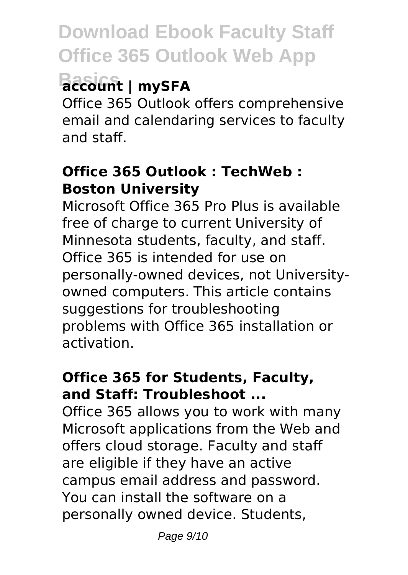# **Basics account | mySFA**

Office 365 Outlook offers comprehensive email and calendaring services to faculty and staff.

#### **Office 365 Outlook : TechWeb : Boston University**

Microsoft Office 365 Pro Plus is available free of charge to current University of Minnesota students, faculty, and staff. Office 365 is intended for use on personally-owned devices, not Universityowned computers. This article contains suggestions for troubleshooting problems with Office 365 installation or activation.

### **Office 365 for Students, Faculty, and Staff: Troubleshoot ...**

Office 365 allows you to work with many Microsoft applications from the Web and offers cloud storage. Faculty and staff are eligible if they have an active campus email address and password. You can install the software on a personally owned device. Students,